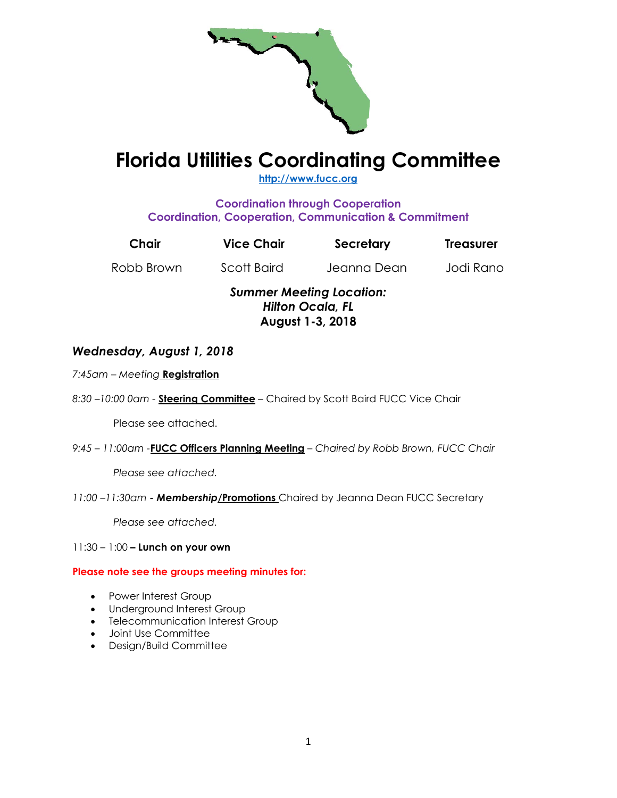

# **Florida Utilities Coordinating Committee**

**[http://www.fucc.org](http://www.fucc.org/)**

**Coordination through Cooperation Coordination, Cooperation, Communication & Commitment**

| Chair      | <b>Vice Chair</b> | Secretary                                                  | <b>Treasurer</b> |
|------------|-------------------|------------------------------------------------------------|------------------|
| Robb Brown | Scott Baird       | Jeanna Dean                                                | Jodi Rano        |
|            |                   | <b>Summer Meeting Location:</b><br><b>Hilton Ocala, FL</b> |                  |

**August 1-3, 2018**

*Wednesday, August 1, 2018*

*7:45am – Meeting* **Registration**

*8:30 –10:00 0am -* **Steering Committee** – Chaired by Scott Baird FUCC Vice Chair

Please see attached.

*9:45 – 11:00am -***FUCC Officers Planning Meeting** *– Chaired by Robb Brown, FUCC Chair*

*Please see attached.*

*11:00 –11:30am - Membership***/Promotions** Chaired by Jeanna Dean FUCC Secretary

*Please see attached.*

11:30 – 1:00 **– Lunch on your own**

**Please note see the groups meeting minutes for:**

- Power Interest Group
- Underground Interest Group
- Telecommunication Interest Group
- Joint Use Committee
- Design/Build Committee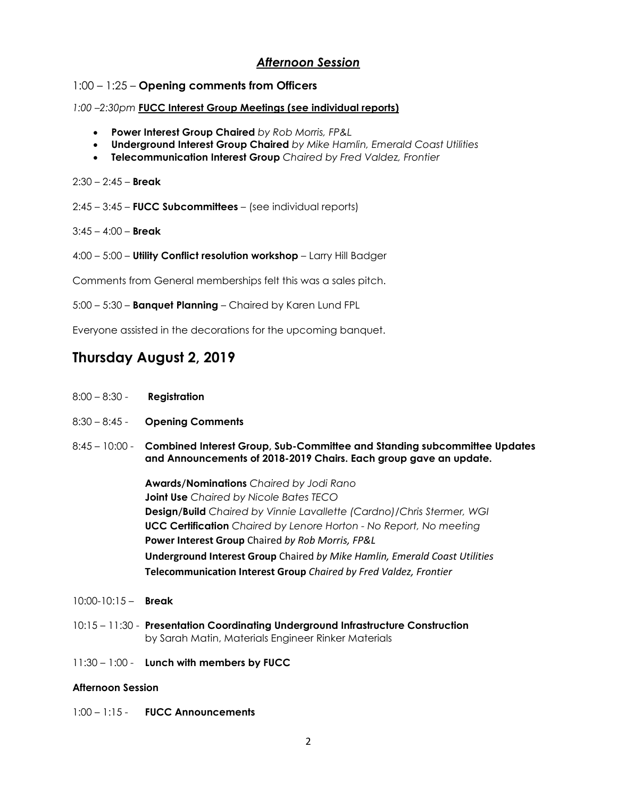# *Afternoon Session*

# 1:00 – 1:25 – **Opening comments from Officers**

# *1:00 –2:30pm* **FUCC Interest Group Meetings (see individual reports)**

- **Power Interest Group Chaired** *by Rob Morris, FP&L*
- **Underground Interest Group Chaired** *by Mike Hamlin, Emerald Coast Utilities*
- **Telecommunication Interest Group** *Chaired by Fred Valdez, Frontier*
- 2:30 2:45 **Break**
- 2:45 3:45 **FUCC Subcommittees**  (see individual reports)
- 3:45 4:00 **Break**
- 4:00 5:00 **Utility Conflict resolution workshop**  Larry Hill Badger

Comments from General memberships felt this was a sales pitch.

5:00 – 5:30 – **Banquet Planning** – Chaired by Karen Lund FPL

Everyone assisted in the decorations for the upcoming banquet.

# **Thursday August 2, 2019**

- 8:00 8:30 **Registration**
- 8:30 8:45 **Opening Comments**
- 8:45 10:00 **Combined Interest Group, Sub-Committee and Standing subcommittee Updates and Announcements of 2018-2019 Chairs. Each group gave an update.**

**Awards/Nominations** *Chaired by Jodi Rano* **Joint Use** *Chaired by Nicole Bates TECO* **Design/Build** *Chaired by Vinnie Lavallette (Cardno)/Chris Stermer, WGI* **UCC Certification** *Chaired by Lenore Horton - No Report, No meeting*  **Power Interest Group** Chaired *by Rob Morris, FP&L* **Underground Interest Group** Chaired *by Mike Hamlin, Emerald Coast Utilities* **Telecommunication Interest Group** *Chaired by Fred Valdez, Frontier*

- 10:00-10:15 **Break**
- 10:15 11:30 **Presentation Coordinating Underground Infrastructure Construction**  by Sarah Matin, Materials Engineer Rinker Materials
- 11:30 1:00 **Lunch with members by FUCC**

#### **Afternoon Session**

1:00 – 1:15 - **FUCC Announcements**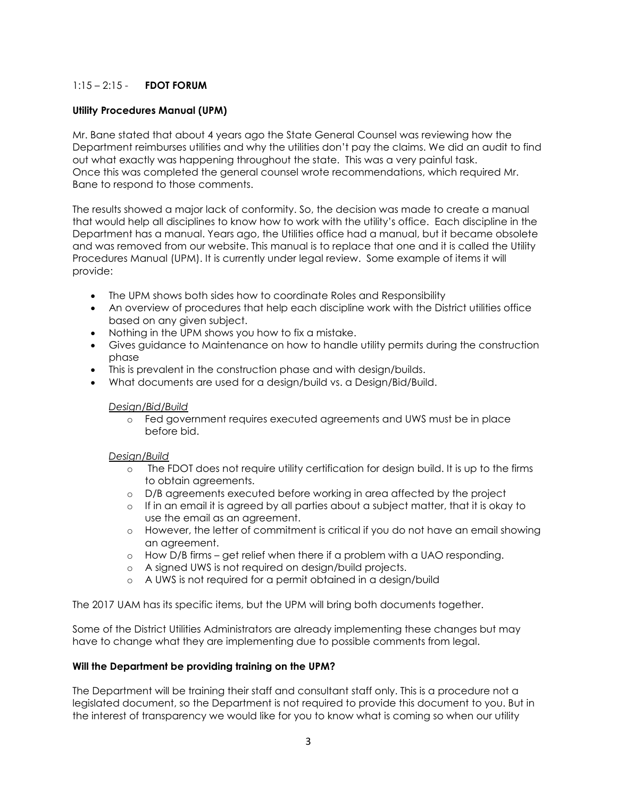# 1:15 – 2:15 - **FDOT FORUM**

# **Utility Procedures Manual (UPM)**

Mr. Bane stated that about 4 years ago the State General Counsel was reviewing how the Department reimburses utilities and why the utilities don't pay the claims. We did an audit to find out what exactly was happening throughout the state. This was a very painful task. Once this was completed the general counsel wrote recommendations, which required Mr. Bane to respond to those comments.

The results showed a major lack of conformity. So, the decision was made to create a manual that would help all disciplines to know how to work with the utility's office. Each discipline in the Department has a manual. Years ago, the Utilities office had a manual, but it became obsolete and was removed from our website. This manual is to replace that one and it is called the Utility Procedures Manual (UPM). It is currently under legal review. Some example of items it will provide:

- The UPM shows both sides how to coordinate Roles and Responsibility
- An overview of procedures that help each discipline work with the District utilities office based on any given subject.
- Nothing in the UPM shows you how to fix a mistake.
- Gives guidance to Maintenance on how to handle utility permits during the construction phase
- This is prevalent in the construction phase and with design/builds.
- What documents are used for a design/build vs. a Design/Bid/Build.

#### *Design/Bid/Build*

o Fed government requires executed agreements and UWS must be in place before bid.

#### *Design/Build*

- o The FDOT does not require utility certification for design build. It is up to the firms to obtain agreements.
- o D/B agreements executed before working in area affected by the project
- o If in an email it is agreed by all parties about a subject matter, that it is okay to use the email as an agreement.
- o However, the letter of commitment is critical if you do not have an email showing an agreement.
- $\circ$  How D/B firms get relief when there if a problem with a UAO responding.
- o A signed UWS is not required on design/build projects.
- o A UWS is not required for a permit obtained in a design/build

The 2017 UAM has its specific items, but the UPM will bring both documents together.

Some of the District Utilities Administrators are already implementing these changes but may have to change what they are implementing due to possible comments from legal.

#### **Will the Department be providing training on the UPM?**

The Department will be training their staff and consultant staff only. This is a procedure not a legislated document, so the Department is not required to provide this document to you. But in the interest of transparency we would like for you to know what is coming so when our utility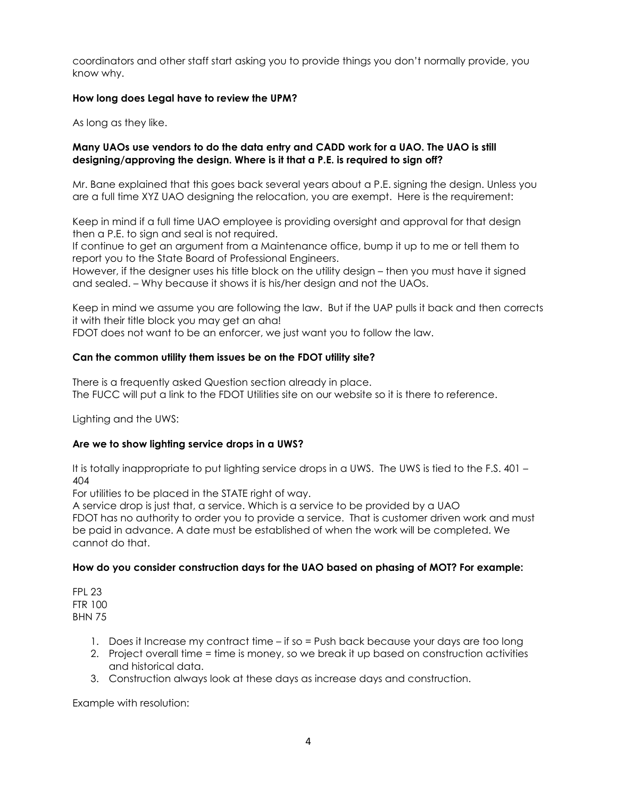coordinators and other staff start asking you to provide things you don't normally provide, you know why.

# **How long does Legal have to review the UPM?**

As long as they like.

### **Many UAOs use vendors to do the data entry and CADD work for a UAO. The UAO is still designing/approving the design. Where is it that a P.E. is required to sign off?**

Mr. Bane explained that this goes back several years about a P.E. signing the design. Unless you are a full time XYZ UAO designing the relocation, you are exempt. Here is the requirement:

Keep in mind if a full time UAO employee is providing oversight and approval for that design then a P.E. to sign and seal is not required.

If continue to get an argument from a Maintenance office, bump it up to me or tell them to report you to the State Board of Professional Engineers.

However, if the designer uses his title block on the utility design – then you must have it signed and sealed. – Why because it shows it is his/her design and not the UAOs.

Keep in mind we assume you are following the law. But if the UAP pulls it back and then corrects it with their title block you may get an aha!

FDOT does not want to be an enforcer, we just want you to follow the law.

# **Can the common utility them issues be on the FDOT utility site?**

There is a frequently asked Question section already in place. The FUCC will put a link to the FDOT Utilities site on our website so it is there to reference.

Lighting and the UWS:

# **Are we to show lighting service drops in a UWS?**

It is totally inappropriate to put lighting service drops in a UWS. The UWS is tied to the F.S. 401 – 404

For utilities to be placed in the STATE right of way.

A service drop is just that, a service. Which is a service to be provided by a UAO FDOT has no authority to order you to provide a service. That is customer driven work and must be paid in advance. A date must be established of when the work will be completed. We cannot do that.

#### **How do you consider construction days for the UAO based on phasing of MOT? For example:**

FPL 23 FTR 100 BHN 75

- 1. Does it Increase my contract time if so = Push back because your days are too long
- 2. Project overall time = time is money, so we break it up based on construction activities and historical data.
- 3. Construction always look at these days as increase days and construction.

Example with resolution: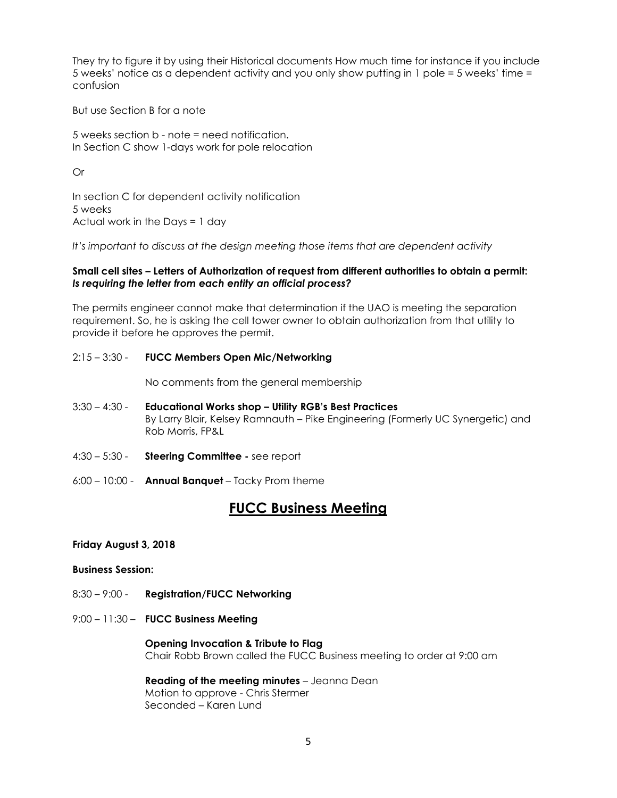They try to figure it by using their Historical documents How much time for instance if you include 5 weeks' notice as a dependent activity and you only show putting in 1 pole = 5 weeks' time = confusion

But use Section B for a note

5 weeks section b - note = need notification. In Section C show 1-days work for pole relocation

Or

In section C for dependent activity notification 5 weeks Actual work in the Days = 1 day

*It's important to discuss at the design meeting those items that are dependent activity*

#### **Small cell sites – Letters of Authorization of request from different authorities to obtain a permit:**  *Is requiring the letter from each entity an official process?*

The permits engineer cannot make that determination if the UAO is meeting the separation requirement. So, he is asking the cell tower owner to obtain authorization from that utility to provide it before he approves the permit.

#### 2:15 – 3:30 - **FUCC Members Open Mic/Networking**

No comments from the general membership

- 3:30 4:30 **Educational Works shop – Utility RGB's Best Practices** By Larry Blair, Kelsey Ramnauth – Pike Engineering (Formerly UC Synergetic) and Rob Morris, FP&L
- 4:30 5:30 **Steering Committee -** see report
- 6:00 10:00 **Annual Banquet**  Tacky Prom theme

# **FUCC Business Meeting**

#### **Friday August 3, 2018**

#### **Business Session:**

- 8:30 9:00 **Registration/FUCC Networking**
- 9:00 11:30 **FUCC Business Meeting**

 **Opening Invocation & Tribute to Flag** Chair Robb Brown called the FUCC Business meeting to order at 9:00 am

**Reading of the meeting minutes** – Jeanna Dean Motion to approve - Chris Stermer Seconded – Karen Lund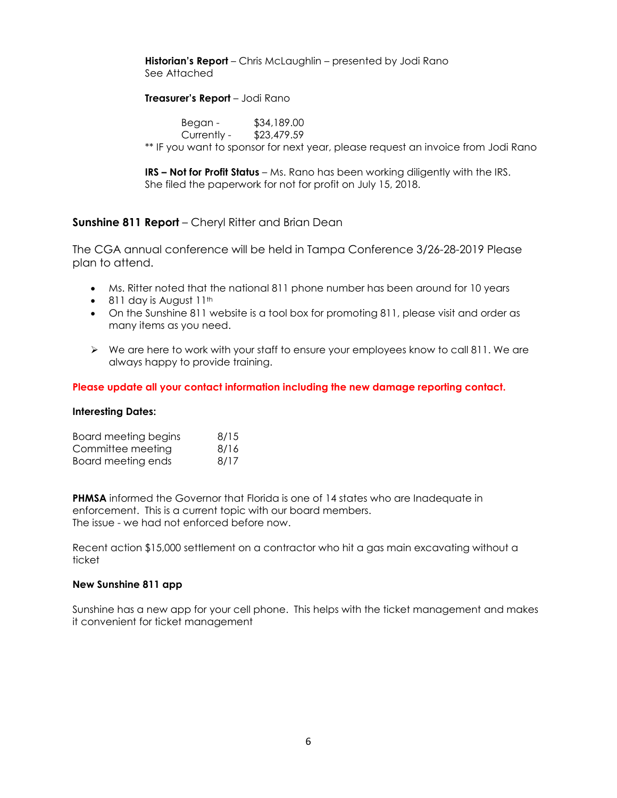### **Historian's Report** – Chris McLaughlin – presented by Jodi Rano See Attached

#### **Treasurer's Report** – Jodi Rano

Began - \$34,189.00 Currently - \$23,479.59 \*\* IF you want to sponsor for next year, please request an invoice from Jodi Rano

**IRS – Not for Profit Status** – Ms. Rano has been working diligently with the IRS. She filed the paperwork for not for profit on July 15, 2018.

# **Sunshine 811 Report** – Cheryl Ritter and Brian Dean

The CGA annual conference will be held in Tampa Conference 3/26-28-2019 Please plan to attend.

- Ms. Ritter noted that the national 811 phone number has been around for 10 years
- $\bullet$  811 day is August 11<sup>th</sup>
- On the Sunshine 811 website is a tool box for promoting 811, please visit and order as many items as you need.
- $\triangleright$  We are here to work with your staff to ensure your employees know to call 811. We are always happy to provide training.

#### **Please update all your contact information including the new damage reporting contact.**

#### **Interesting Dates:**

| <b>Board meeting begins</b> | 8/15 |
|-----------------------------|------|
| Committee meeting           | 8/16 |
| Board meeting ends          | 8/17 |

**PHMSA** informed the Governor that Florida is one of 14 states who are Inadequate in enforcement. This is a current topic with our board members. The issue - we had not enforced before now.

Recent action \$15,000 settlement on a contractor who hit a gas main excavating without a ticket

#### **New Sunshine 811 app**

Sunshine has a new app for your cell phone. This helps with the ticket management and makes it convenient for ticket management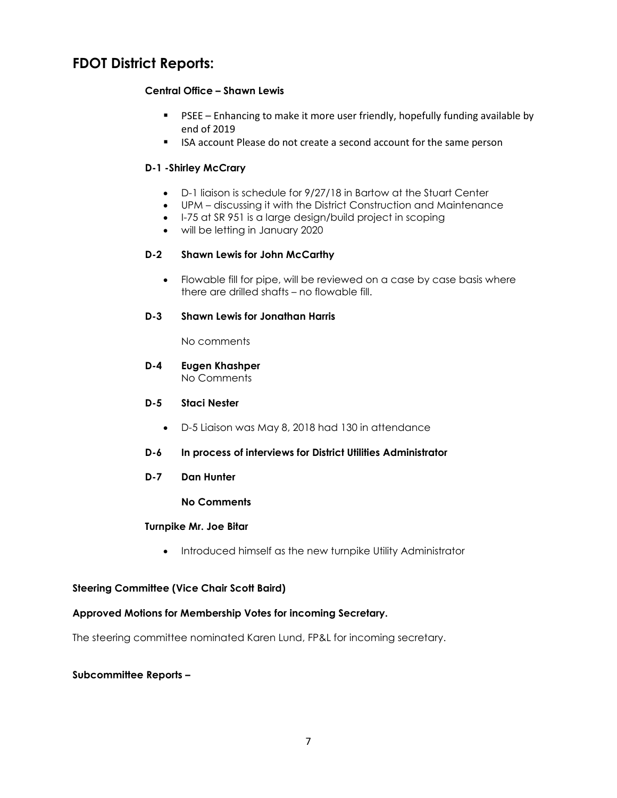# **FDOT District Reports:**

# **Central Office – Shawn Lewis**

- **PSEE** Enhancing to make it more user friendly, hopefully funding available by end of 2019
- ISA account Please do not create a second account for the same person

# **D-1 -Shirley McCrary**

- D-1 liaison is schedule for 9/27/18 in Bartow at the Stuart Center
- UPM discussing it with the District Construction and Maintenance
- I-75 at SR 951 is a large design/build project in scoping
- will be letting in January 2020

# **D-2 Shawn Lewis for John McCarthy**

• Flowable fill for pipe, will be reviewed on a case by case basis where there are drilled shafts – no flowable fill.

# **D-3 Shawn Lewis for Jonathan Harris**

No comments

**D-4 Eugen Khashper** No Comments

#### **D-5 Staci Nester**

- D-5 Liaison was May 8, 2018 had 130 in attendance
- **D-6 In process of interviews for District Utilities Administrator**
- **D-7 Dan Hunter**

#### **No Comments**

#### **Turnpike Mr. Joe Bitar**

• Introduced himself as the new turnpike Utility Administrator

# **Steering Committee (Vice Chair Scott Baird)**

# **Approved Motions for Membership Votes for incoming Secretary.**

The steering committee nominated Karen Lund, FP&L for incoming secretary.

# **Subcommittee Reports –**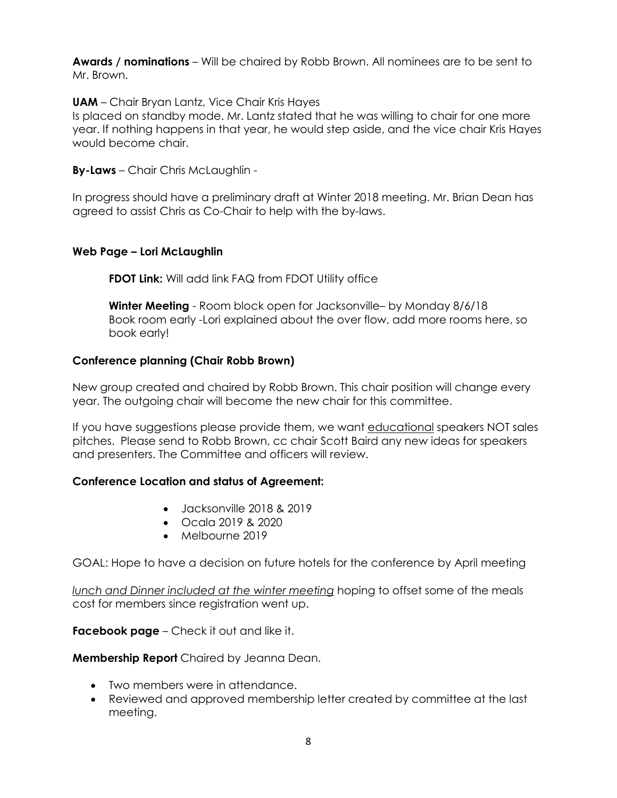**Awards / nominations** – Will be chaired by Robb Brown. All nominees are to be sent to Mr. Brown.

**UAM** – Chair Bryan Lantz, Vice Chair Kris Hayes

Is placed on standby mode. Mr. Lantz stated that he was willing to chair for one more year. If nothing happens in that year, he would step aside, and the vice chair Kris Hayes would become chair.

**By-Laws** – Chair Chris McLaughlin -

In progress should have a preliminary draft at Winter 2018 meeting. Mr. Brian Dean has agreed to assist Chris as Co-Chair to help with the by-laws.

# **Web Page – Lori McLaughlin**

**FDOT Link:** Will add link FAQ from FDOT Utility office

**Winter Meeting** - Room block open for Jacksonville– by Monday 8/6/18 Book room early -Lori explained about the over flow, add more rooms here, so book early!

# **Conference planning (Chair Robb Brown)**

New group created and chaired by Robb Brown. This chair position will change every year. The outgoing chair will become the new chair for this committee.

If you have suggestions please provide them, we want educational speakers NOT sales pitches. Please send to Robb Brown, cc chair Scott Baird any new ideas for speakers and presenters. The Committee and officers will review.

# **Conference Location and status of Agreement:**

- Jacksonville 2018 & 2019
- Ocala 2019 & 2020
- Melbourne 2019

GOAL: Hope to have a decision on future hotels for the conference by April meeting

*lunch and Dinner included at the winter meeting* hoping to offset some of the meals cost for members since registration went up.

**Facebook page** – Check it out and like it.

**Membership Report** Chaired by Jeanna Dean.

- Two members were in attendance.
- Reviewed and approved membership letter created by committee at the last meeting.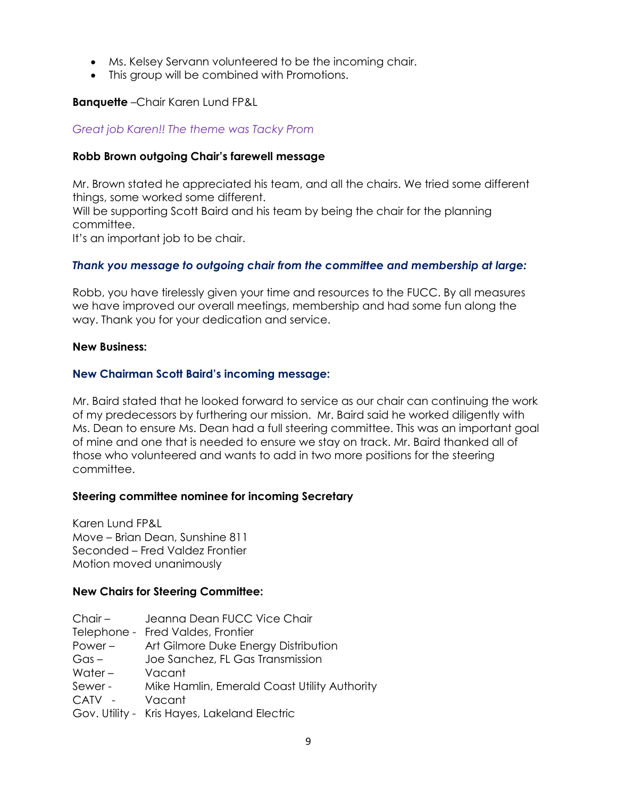- Ms. Kelsey Servann volunteered to be the incoming chair.
- This group will be combined with Promotions.

# **Banquette** –Chair Karen Lund FP&L

# *Great job Karen!! The theme was Tacky Prom*

# **Robb Brown outgoing Chair's farewell message**

Mr. Brown stated he appreciated his team, and all the chairs. We tried some different things, some worked some different.

Will be supporting Scott Baird and his team by being the chair for the planning committee.

It's an important job to be chair.

# *Thank you message to outgoing chair from the committee and membership at large:*

Robb, you have tirelessly given your time and resources to the FUCC. By all measures we have improved our overall meetings, membership and had some fun along the way. Thank you for your dedication and service.

# **New Business:**

# **New Chairman Scott Baird's incoming message:**

Mr. Baird stated that he looked forward to service as our chair can continuing the work of my predecessors by furthering our mission. Mr. Baird said he worked diligently with Ms. Dean to ensure Ms. Dean had a full steering committee. This was an important goal of mine and one that is needed to ensure we stay on track. Mr. Baird thanked all of those who volunteered and wants to add in two more positions for the steering committee.

# **Steering committee nominee for incoming Secretary**

Karen Lund FP&L Move – Brian Dean, Sunshine 811 Seconded – Fred Valdez Frontier Motion moved unanimously

# **New Chairs for Steering Committee:**

| $Chair -$ | Jeanna Dean FUCC Vice Chair                  |
|-----------|----------------------------------------------|
|           | Telephone - Fred Valdes, Frontier            |
| $Power -$ | Art Gilmore Duke Energy Distribution         |
| $Gas -$   | Joe Sanchez, FL Gas Transmission             |
| Water $-$ | Vacant                                       |
| Sewer-    | Mike Hamlin, Emerald Coast Utility Authority |
| CATV -    | Vacant                                       |
|           | Gov. Utility - Kris Hayes, Lakeland Electric |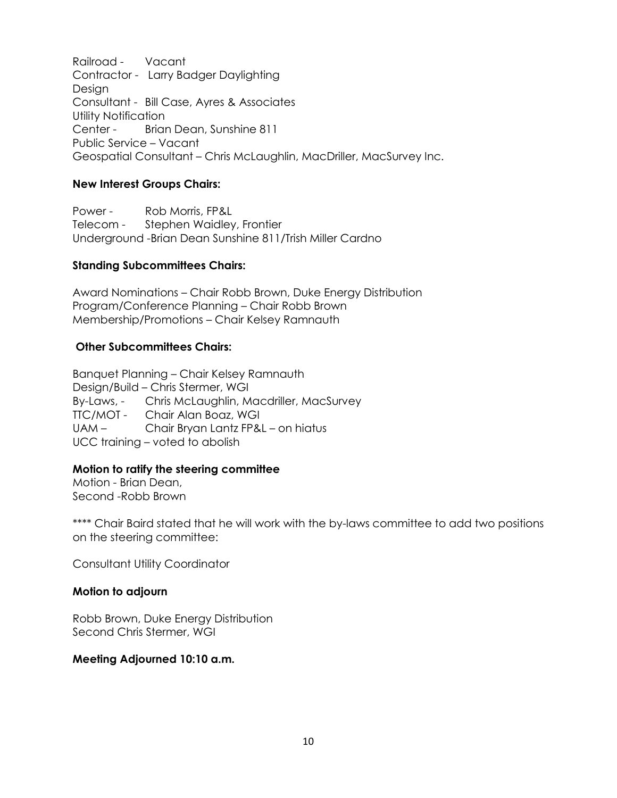Railroad - Vacant Contractor - Larry Badger Daylighting Design Consultant - Bill Case, Ayres & Associates Utility Notification Center - Brian Dean, Sunshine 811 Public Service – Vacant Geospatial Consultant – Chris McLaughlin, MacDriller, MacSurvey Inc.

# **New Interest Groups Chairs:**

Power - Rob Morris, FP&L Telecom - Stephen Waidley, Frontier Underground -Brian Dean Sunshine 811/Trish Miller Cardno

# **Standing Subcommittees Chairs:**

Award Nominations – Chair Robb Brown, Duke Energy Distribution Program/Conference Planning – Chair Robb Brown Membership/Promotions – Chair Kelsey Ramnauth

# **Other Subcommittees Chairs:**

Banquet Planning – Chair Kelsey Ramnauth Design/Build – Chris Stermer, WGI By-Laws, - Chris McLaughlin, Macdriller, MacSurvey TTC/MOT - Chair Alan Boaz, WGI UAM – Chair Bryan Lantz FP&L – on hiatus UCC training – voted to abolish

# **Motion to ratify the steering committee**

Motion - Brian Dean, Second -Robb Brown

\*\*\*\* Chair Baird stated that he will work with the by-laws committee to add two positions on the steering committee:

Consultant Utility Coordinator

# **Motion to adjourn**

Robb Brown, Duke Energy Distribution Second Chris Stermer, WGI

# **Meeting Adjourned 10:10 a.m.**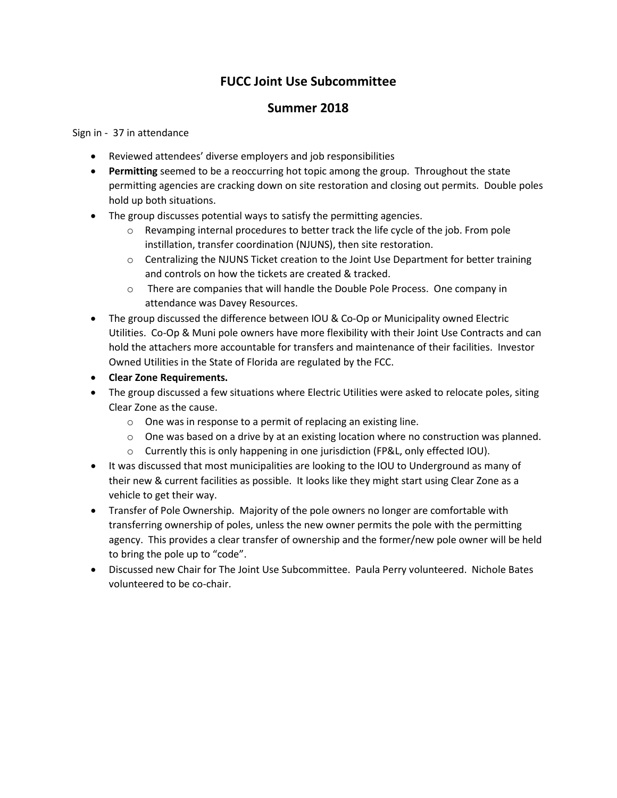# **FUCC Joint Use Subcommittee**

# **Summer 2018**

### Sign in - 37 in attendance

- Reviewed attendees' diverse employers and job responsibilities
- **Permitting** seemed to be a reoccurring hot topic among the group. Throughout the state permitting agencies are cracking down on site restoration and closing out permits. Double poles hold up both situations.
- The group discusses potential ways to satisfy the permitting agencies.
	- $\circ$  Revamping internal procedures to better track the life cycle of the job. From pole instillation, transfer coordination (NJUNS), then site restoration.
	- o Centralizing the NJUNS Ticket creation to the Joint Use Department for better training and controls on how the tickets are created & tracked.
	- o There are companies that will handle the Double Pole Process. One company in attendance was Davey Resources.
- The group discussed the difference between IOU & Co-Op or Municipality owned Electric Utilities. Co-Op & Muni pole owners have more flexibility with their Joint Use Contracts and can hold the attachers more accountable for transfers and maintenance of their facilities. Investor Owned Utilities in the State of Florida are regulated by the FCC.
- **Clear Zone Requirements.**
- The group discussed a few situations where Electric Utilities were asked to relocate poles, siting Clear Zone as the cause.
	- o One was in response to a permit of replacing an existing line.
	- $\circ$  One was based on a drive by at an existing location where no construction was planned.
	- $\circ$  Currently this is only happening in one jurisdiction (FP&L, only effected IOU).
- It was discussed that most municipalities are looking to the IOU to Underground as many of their new & current facilities as possible. It looks like they might start using Clear Zone as a vehicle to get their way.
- Transfer of Pole Ownership. Majority of the pole owners no longer are comfortable with transferring ownership of poles, unless the new owner permits the pole with the permitting agency. This provides a clear transfer of ownership and the former/new pole owner will be held to bring the pole up to "code".
- Discussed new Chair for The Joint Use Subcommittee. Paula Perry volunteered. Nichole Bates volunteered to be co-chair.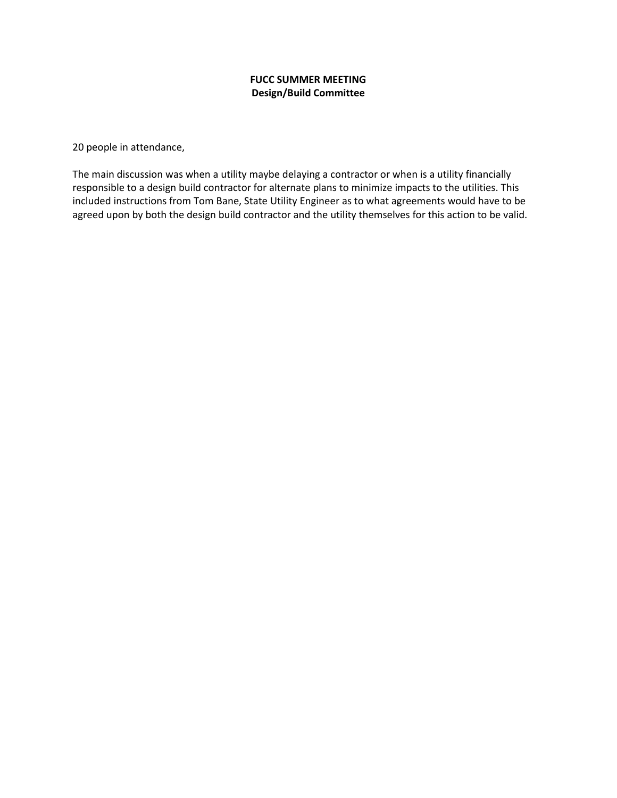# **FUCC SUMMER MEETING Design/Build Committee**

20 people in attendance,

The main discussion was when a utility maybe delaying a contractor or when is a utility financially responsible to a design build contractor for alternate plans to minimize impacts to the utilities. This included instructions from Tom Bane, State Utility Engineer as to what agreements would have to be agreed upon by both the design build contractor and the utility themselves for this action to be valid.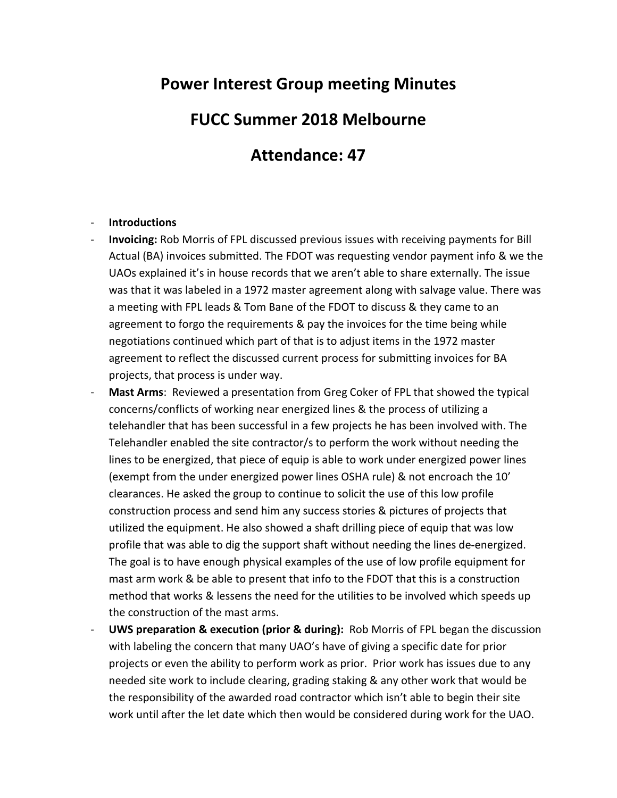# **Power Interest Group meeting Minutes**

# **FUCC Summer 2018 Melbourne**

# **Attendance: 47**

# - **Introductions**

- **Invoicing:** Rob Morris of FPL discussed previous issues with receiving payments for Bill Actual (BA) invoices submitted. The FDOT was requesting vendor payment info & we the UAOs explained it's in house records that we aren't able to share externally. The issue was that it was labeled in a 1972 master agreement along with salvage value. There was a meeting with FPL leads & Tom Bane of the FDOT to discuss & they came to an agreement to forgo the requirements & pay the invoices for the time being while negotiations continued which part of that is to adjust items in the 1972 master agreement to reflect the discussed current process for submitting invoices for BA projects, that process is under way.
- Mast Arms: Reviewed a presentation from Greg Coker of FPL that showed the typical concerns/conflicts of working near energized lines & the process of utilizing a telehandler that has been successful in a few projects he has been involved with. The Telehandler enabled the site contractor/s to perform the work without needing the lines to be energized, that piece of equip is able to work under energized power lines (exempt from the under energized power lines OSHA rule) & not encroach the 10' clearances. He asked the group to continue to solicit the use of this low profile construction process and send him any success stories & pictures of projects that utilized the equipment. He also showed a shaft drilling piece of equip that was low profile that was able to dig the support shaft without needing the lines de**-**energized. The goal is to have enough physical examples of the use of low profile equipment for mast arm work & be able to present that info to the FDOT that this is a construction method that works & lessens the need for the utilities to be involved which speeds up the construction of the mast arms.
- **UWS preparation & execution (prior & during):** Rob Morris of FPL began the discussion with labeling the concern that many UAO's have of giving a specific date for prior projects or even the ability to perform work as prior. Prior work has issues due to any needed site work to include clearing, grading staking & any other work that would be the responsibility of the awarded road contractor which isn't able to begin their site work until after the let date which then would be considered during work for the UAO.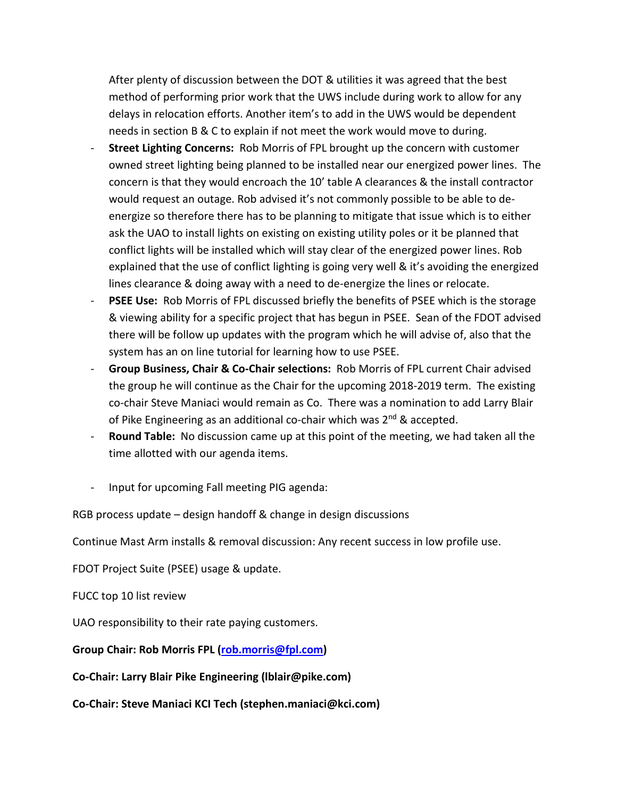After plenty of discussion between the DOT & utilities it was agreed that the best method of performing prior work that the UWS include during work to allow for any delays in relocation efforts. Another item's to add in the UWS would be dependent needs in section B & C to explain if not meet the work would move to during.

- **Street Lighting Concerns:** Rob Morris of FPL brought up the concern with customer owned street lighting being planned to be installed near our energized power lines. The concern is that they would encroach the 10' table A clearances & the install contractor would request an outage. Rob advised it's not commonly possible to be able to deenergize so therefore there has to be planning to mitigate that issue which is to either ask the UAO to install lights on existing on existing utility poles or it be planned that conflict lights will be installed which will stay clear of the energized power lines. Rob explained that the use of conflict lighting is going very well & it's avoiding the energized lines clearance & doing away with a need to de-energize the lines or relocate.
- **PSEE Use:** Rob Morris of FPL discussed briefly the benefits of PSEE which is the storage & viewing ability for a specific project that has begun in PSEE. Sean of the FDOT advised there will be follow up updates with the program which he will advise of, also that the system has an on line tutorial for learning how to use PSEE.
- **Group Business, Chair & Co-Chair selections:** Rob Morris of FPL current Chair advised the group he will continue as the Chair for the upcoming 2018-2019 term. The existing co-chair Steve Maniaci would remain as Co. There was a nomination to add Larry Blair of Pike Engineering as an additional co-chair which was 2<sup>nd</sup> & accepted.
- **Round Table:** No discussion came up at this point of the meeting, we had taken all the time allotted with our agenda items.
- Input for upcoming Fall meeting PIG agenda:

RGB process update – design handoff & change in design discussions

Continue Mast Arm installs & removal discussion: Any recent success in low profile use.

FDOT Project Suite (PSEE) usage & update.

# FUCC top 10 list review

UAO responsibility to their rate paying customers.

# **Group Chair: Rob Morris FPL [\(rob.morris@fpl.com\)](mailto:rob.morris@fpl.com)**

**Co-Chair: Larry Blair Pike Engineering (lblair@pike.com)**

**Co-Chair: Steve Maniaci KCI Tech (stephen.maniaci@kci.com)**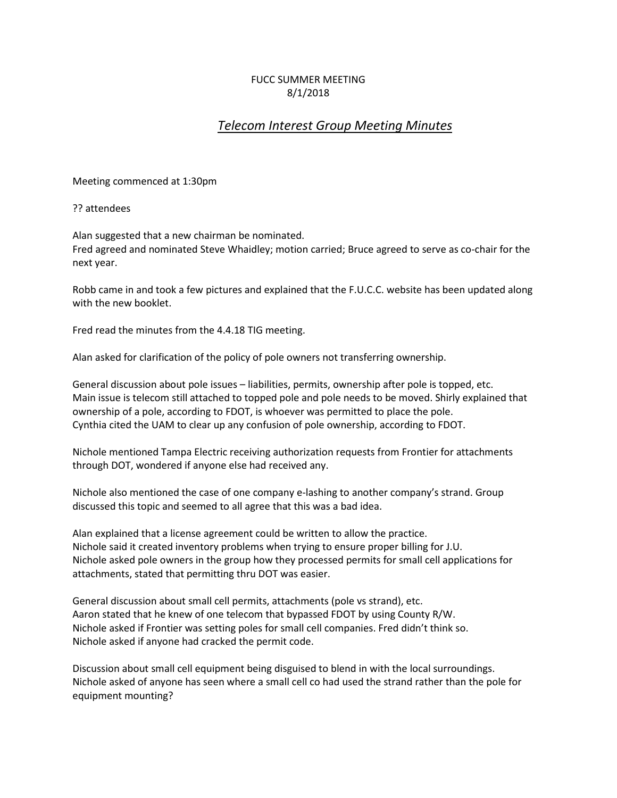# FUCC SUMMER MEETING 8/1/2018

# *Telecom Interest Group Meeting Minutes*

Meeting commenced at 1:30pm

?? attendees

Alan suggested that a new chairman be nominated. Fred agreed and nominated Steve Whaidley; motion carried; Bruce agreed to serve as co-chair for the next year.

Robb came in and took a few pictures and explained that the F.U.C.C. website has been updated along with the new booklet.

Fred read the minutes from the 4.4.18 TIG meeting.

Alan asked for clarification of the policy of pole owners not transferring ownership.

General discussion about pole issues – liabilities, permits, ownership after pole is topped, etc. Main issue is telecom still attached to topped pole and pole needs to be moved. Shirly explained that ownership of a pole, according to FDOT, is whoever was permitted to place the pole. Cynthia cited the UAM to clear up any confusion of pole ownership, according to FDOT.

Nichole mentioned Tampa Electric receiving authorization requests from Frontier for attachments through DOT, wondered if anyone else had received any.

Nichole also mentioned the case of one company e-lashing to another company's strand. Group discussed this topic and seemed to all agree that this was a bad idea.

Alan explained that a license agreement could be written to allow the practice. Nichole said it created inventory problems when trying to ensure proper billing for J.U. Nichole asked pole owners in the group how they processed permits for small cell applications for attachments, stated that permitting thru DOT was easier.

General discussion about small cell permits, attachments (pole vs strand), etc. Aaron stated that he knew of one telecom that bypassed FDOT by using County R/W. Nichole asked if Frontier was setting poles for small cell companies. Fred didn't think so. Nichole asked if anyone had cracked the permit code.

Discussion about small cell equipment being disguised to blend in with the local surroundings. Nichole asked of anyone has seen where a small cell co had used the strand rather than the pole for equipment mounting?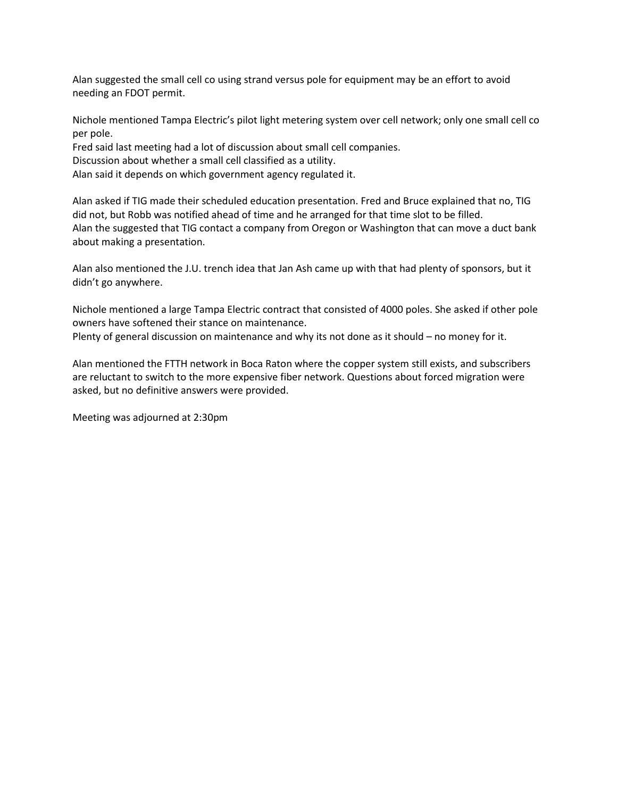Alan suggested the small cell co using strand versus pole for equipment may be an effort to avoid needing an FDOT permit.

Nichole mentioned Tampa Electric's pilot light metering system over cell network; only one small cell co per pole.

Fred said last meeting had a lot of discussion about small cell companies.

Discussion about whether a small cell classified as a utility.

Alan said it depends on which government agency regulated it.

Alan asked if TIG made their scheduled education presentation. Fred and Bruce explained that no, TIG did not, but Robb was notified ahead of time and he arranged for that time slot to be filled. Alan the suggested that TIG contact a company from Oregon or Washington that can move a duct bank about making a presentation.

Alan also mentioned the J.U. trench idea that Jan Ash came up with that had plenty of sponsors, but it didn't go anywhere.

Nichole mentioned a large Tampa Electric contract that consisted of 4000 poles. She asked if other pole owners have softened their stance on maintenance.

Plenty of general discussion on maintenance and why its not done as it should – no money for it.

Alan mentioned the FTTH network in Boca Raton where the copper system still exists, and subscribers are reluctant to switch to the more expensive fiber network. Questions about forced migration were asked, but no definitive answers were provided.

Meeting was adjourned at 2:30pm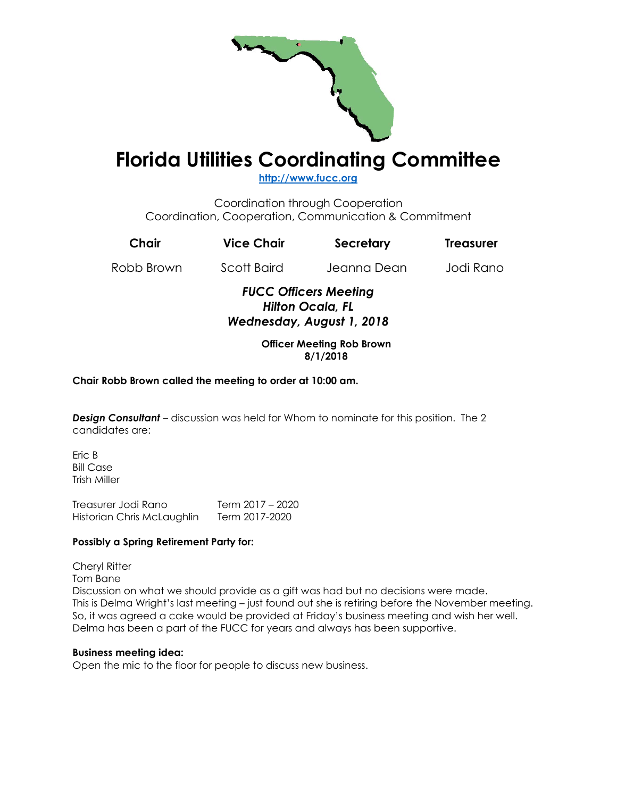

# **Florida Utilities Coordinating Committee**

**[http://www.fucc.org](http://www.fucc.org/)**

Coordination through Cooperation Coordination, Cooperation, Communication & Commitment

| Chair      | <b>Vice Chair</b> | Secretary                    | <b>Treasurer</b> |
|------------|-------------------|------------------------------|------------------|
| Robb Brown | Scott Baird       | Jeanna Dean                  | Jodi Rano        |
|            |                   | <b>FUCC Officers Meeting</b> |                  |

### *FUCC Officers Meeting Hilton Ocala, FL Wednesday, August 1, 2018*

#### **Officer Meeting Rob Brown 8/1/2018**

# **Chair Robb Brown called the meeting to order at 10:00 am.**

*Design Consultant* – discussion was held for Whom to nominate for this position. The 2 candidates are:

Eric B Bill Case Trish Miller

Treasurer Jodi Rano Term 2017 – 2020 Historian Chris McLaughlin Term 2017-2020

#### **Possibly a Spring Retirement Party for:**

Cheryl Ritter

Tom Bane

Discussion on what we should provide as a gift was had but no decisions were made. This is Delma Wright's last meeting – just found out she is retiring before the November meeting. So, it was agreed a cake would be provided at Friday's business meeting and wish her well. Delma has been a part of the FUCC for years and always has been supportive.

#### **Business meeting idea:**

Open the mic to the floor for people to discuss new business.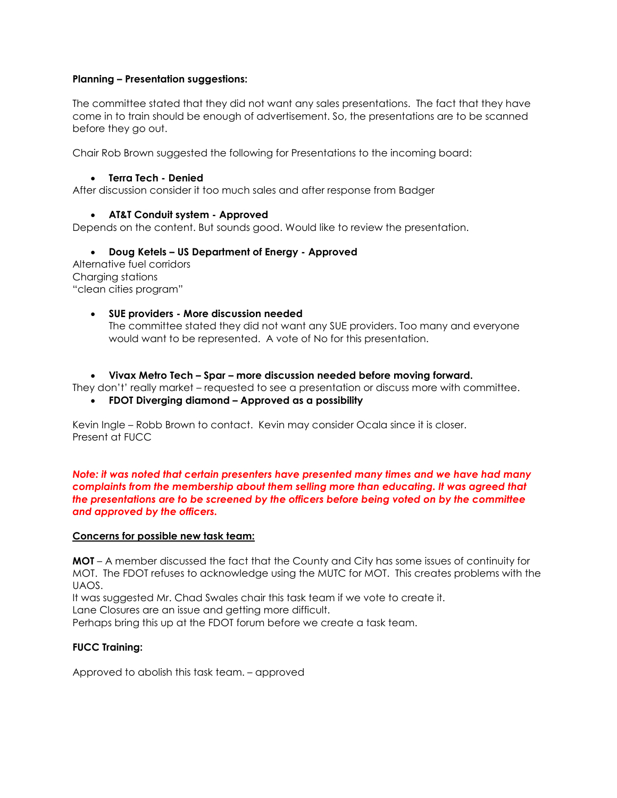#### **Planning – Presentation suggestions:**

The committee stated that they did not want any sales presentations. The fact that they have come in to train should be enough of advertisement. So, the presentations are to be scanned before they go out.

Chair Rob Brown suggested the following for Presentations to the incoming board:

#### • **Terra Tech - Denied**

After discussion consider it too much sales and after response from Badger

#### • **AT&T Conduit system - Approved**

Depends on the content. But sounds good. Would like to review the presentation.

• **Doug Ketels – US Department of Energy - Approved**

Alternative fuel corridors Charging stations "clean cities program"

#### • **SUE providers - More discussion needed**

The committee stated they did not want any SUE providers. Too many and everyone would want to be represented. A vote of No for this presentation.

• **Vivax Metro Tech – Spar – more discussion needed before moving forward.**

They don't' really market – requested to see a presentation or discuss more with committee.

• **FDOT Diverging diamond – Approved as a possibility**

Kevin Ingle – Robb Brown to contact. Kevin may consider Ocala since it is closer. Present at FUCC

*Note: it was noted that certain presenters have presented many times and we have had many complaints from the membership about them selling more than educating. It was agreed that the presentations are to be screened by the officers before being voted on by the committee and approved by the officers.* 

#### **Concerns for possible new task team:**

**MOT** – A member discussed the fact that the County and City has some issues of continuity for MOT. The FDOT refuses to acknowledge using the MUTC for MOT. This creates problems with the UAOS.

It was suggested Mr. Chad Swales chair this task team if we vote to create it.

Lane Closures are an issue and getting more difficult.

Perhaps bring this up at the FDOT forum before we create a task team.

#### **FUCC Training:**

Approved to abolish this task team. – approved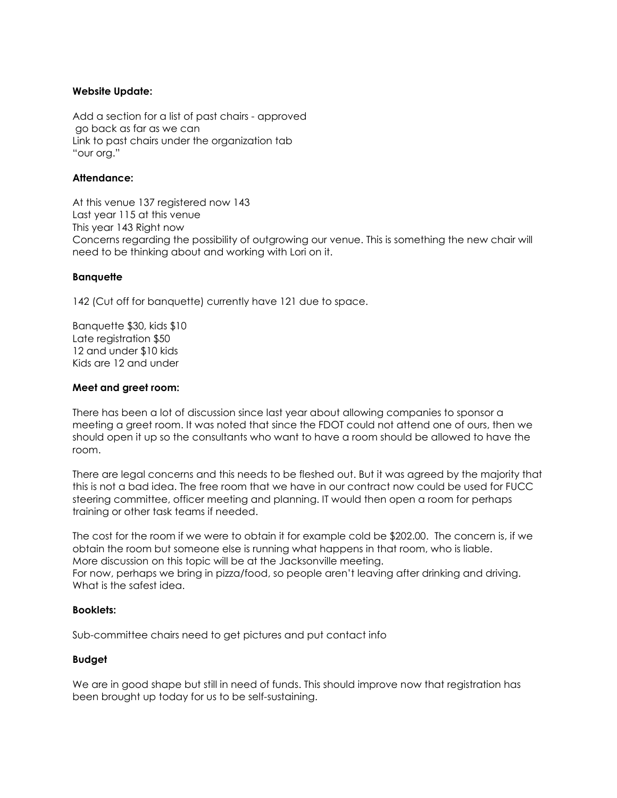#### **Website Update:**

Add a section for a list of past chairs - approved go back as far as we can Link to past chairs under the organization tab "our org."

#### **Attendance:**

At this venue 137 registered now 143 Last year 115 at this venue This year 143 Right now Concerns regarding the possibility of outgrowing our venue. This is something the new chair will need to be thinking about and working with Lori on it.

#### **Banquette**

142 (Cut off for banquette) currently have 121 due to space.

Banquette \$30, kids \$10 Late registration \$50 12 and under \$10 kids Kids are 12 and under

#### **Meet and greet room:**

There has been a lot of discussion since last year about allowing companies to sponsor a meeting a greet room. It was noted that since the FDOT could not attend one of ours, then we should open it up so the consultants who want to have a room should be allowed to have the room.

There are legal concerns and this needs to be fleshed out. But it was agreed by the majority that this is not a bad idea. The free room that we have in our contract now could be used for FUCC steering committee, officer meeting and planning. IT would then open a room for perhaps training or other task teams if needed.

The cost for the room if we were to obtain it for example cold be \$202.00. The concern is, if we obtain the room but someone else is running what happens in that room, who is liable. More discussion on this topic will be at the Jacksonville meeting. For now, perhaps we bring in pizza/food, so people aren't leaving after drinking and driving. What is the safest idea.

#### **Booklets:**

Sub-committee chairs need to get pictures and put contact info

#### **Budget**

We are in good shape but still in need of funds. This should improve now that registration has been brought up today for us to be self-sustaining.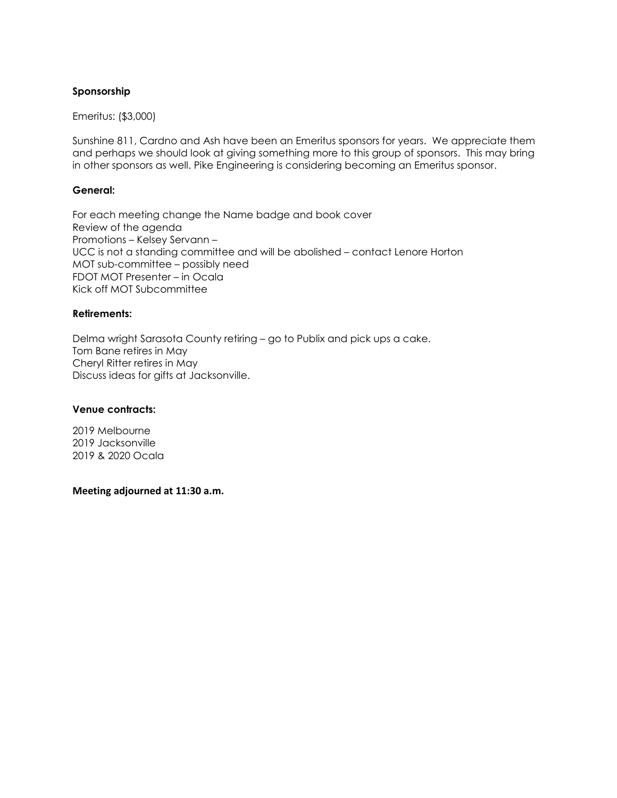### **Sponsorship**

Emeritus: (\$3,000)

Sunshine 811, Cardno and Ash have been an Emeritus sponsors for years. We appreciate them and perhaps we should look at giving something more to this group of sponsors. This may bring in other sponsors as well. Pike Engineering is considering becoming an Emeritus sponsor.

#### **General:**

For each meeting change the Name badge and book cover Review of the agenda Promotions – Kelsey Servann – UCC is not a standing committee and will be abolished – contact Lenore Horton MOT sub-committee – possibly need FDOT MOT Presenter – in Ocala Kick off MOT Subcommittee

#### **Retirements:**

Delma wright Sarasota County retiring – go to Publix and pick ups a cake. Tom Bane retires in May Cheryl Ritter retires in May Discuss ideas for gifts at Jacksonville.

#### **Venue contracts:**

2019 Melbourne 2019 Jacksonville 2019 & 2020 Ocala

**Meeting adjourned at 11:30 a.m.**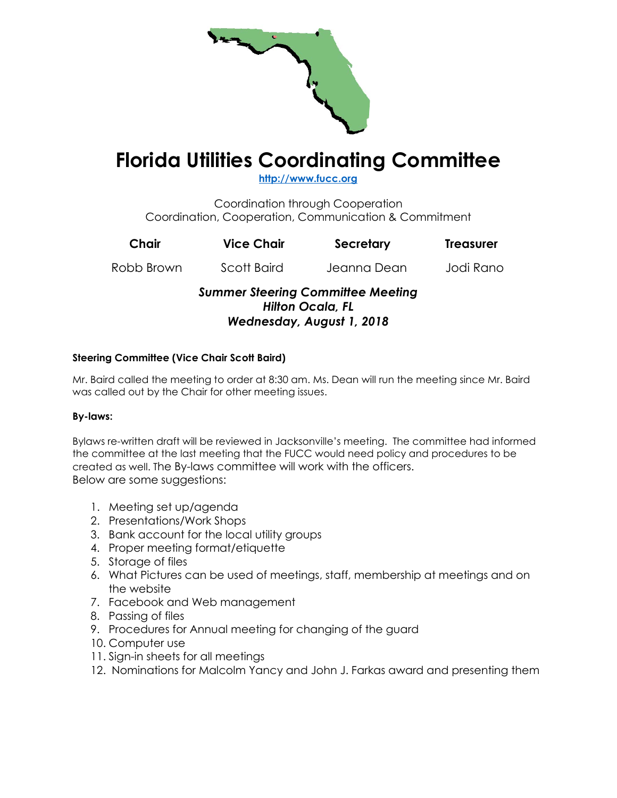

# **Florida Utilities Coordinating Committee**

**[http://www.fucc.org](http://www.fucc.org/)**

Coordination through Cooperation Coordination, Cooperation, Communication & Commitment

| Chair                                                                                            | <b>Vice Chair</b> | Secretary   | <b>Treasurer</b> |  |
|--------------------------------------------------------------------------------------------------|-------------------|-------------|------------------|--|
| Robb Brown                                                                                       | Scott Baird       | Jeanna Dean | Jodi Rano        |  |
| <b>Summer Steering Committee Meeting</b><br><b>Hilton Ocala, FL</b><br>Wednesday, August 1, 2018 |                   |             |                  |  |

# **Steering Committee (Vice Chair Scott Baird)**

Mr. Baird called the meeting to order at 8:30 am. Ms. Dean will run the meeting since Mr. Baird was called out by the Chair for other meeting issues.

# **By-laws:**

Bylaws re-written draft will be reviewed in Jacksonville's meeting. The committee had informed the committee at the last meeting that the FUCC would need policy and procedures to be created as well. The By-laws committee will work with the officers. Below are some suggestions:

- 1. Meeting set up/agenda
- 2. Presentations/Work Shops
- 3. Bank account for the local utility groups
- 4. Proper meeting format/etiquette
- 5. Storage of files
- 6. What Pictures can be used of meetings, staff, membership at meetings and on the website
- 7. Facebook and Web management
- 8. Passing of files
- 9. Procedures for Annual meeting for changing of the guard
- 10. Computer use
- 11. Sign-in sheets for all meetings
- 12. Nominations for Malcolm Yancy and John J. Farkas award and presenting them